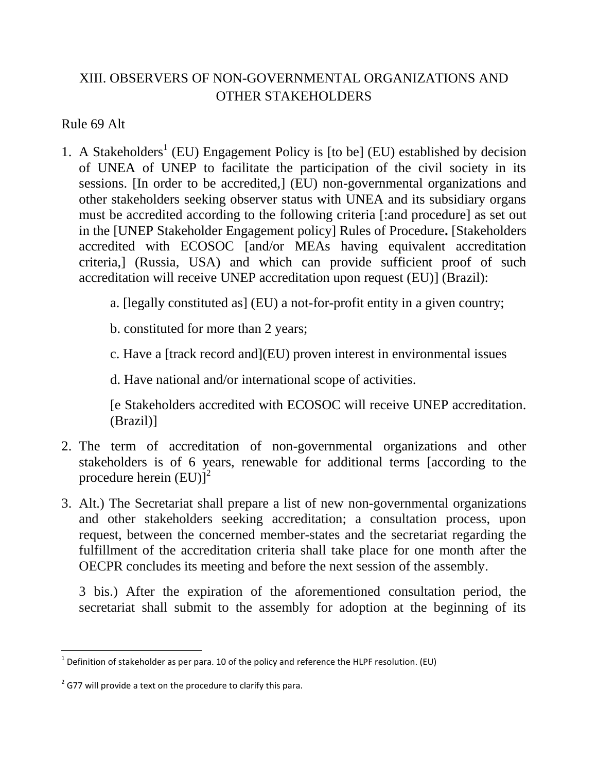## XIII. OBSERVERS OF NON-GOVERNMENTAL ORGANIZATIONS AND OTHER STAKEHOLDERS

Rule 69 Alt

- 1. A Stakeholders<sup>1</sup> (EU) Engagement Policy is [to be] (EU) established by decision of UNEA of UNEP to facilitate the participation of the civil society in its sessions. [In order to be accredited,] (EU) non-governmental organizations and other stakeholders seeking observer status with UNEA and its subsidiary organs must be accredited according to the following criteria [:and procedure] as set out in the [UNEP Stakeholder Engagement policy] Rules of Procedure**.** [Stakeholders accredited with ECOSOC [and/or MEAs having equivalent accreditation criteria,] (Russia, USA) and which can provide sufficient proof of such accreditation will receive UNEP accreditation upon request (EU)] (Brazil):
	- a. [legally constituted as] (EU) a not-for-profit entity in a given country;

b. constituted for more than 2 years;

c. Have a [track record and](EU) proven interest in environmental issues

d. Have national and/or international scope of activities.

[e Stakeholders accredited with ECOSOC will receive UNEP accreditation. (Brazil)]

- 2. The term of accreditation of non-governmental organizations and other stakeholders is of 6 years, renewable for additional terms [according to the procedure herein  $(EU)^T$
- 3. Alt.) The Secretariat shall prepare a list of new non-governmental organizations and other stakeholders seeking accreditation; a consultation process, upon request, between the concerned member-states and the secretariat regarding the fulfillment of the accreditation criteria shall take place for one month after the OECPR concludes its meeting and before the next session of the assembly.

3 bis.) After the expiration of the aforementioned consultation period, the secretariat shall submit to the assembly for adoption at the beginning of its

 $\frac{1}{1}$  Definition of stakeholder as per para. 10 of the policy and reference the HLPF resolution. (EU)

 $2$  G77 will provide a text on the procedure to clarify this para.